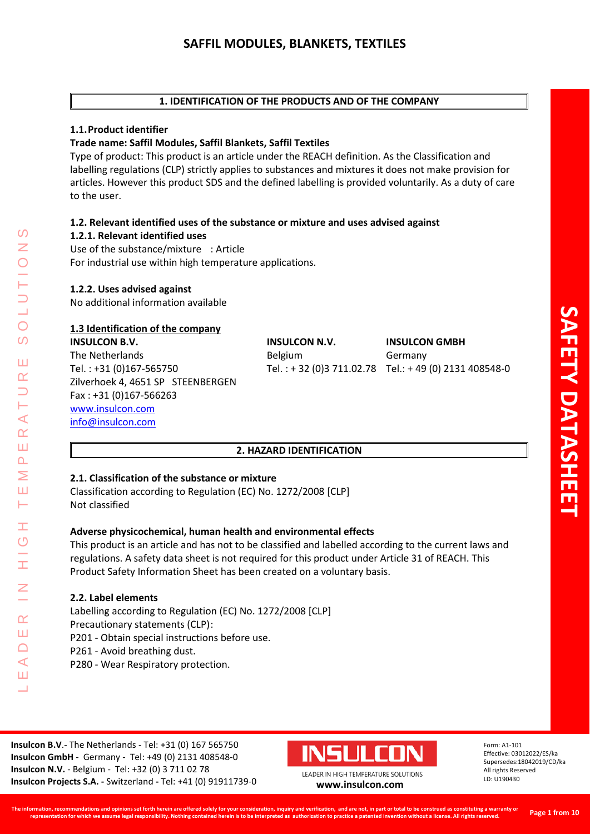# **1. IDENTIFICATION OF THE PRODUCTS AND OF THE COMPANY**

# **1.1.Product identifier**

# **Trade name: Saffil Modules, Saffil Blankets, Saffil Textiles**

Type of product: This product is an article under the REACH definition. As the Classification and labelling regulations (CLP) strictly applies to substances and mixtures it does not make provision for articles. However this product SDS and the defined labelling is provided voluntarily. As a duty of care to the user.

# **1.2. Relevant identified uses of the substance or mixture and uses advised against**

## **1.2.1. Relevant identified uses**

Use of the substance/mixture : Article For industrial use within high temperature applications.

# **1.2.2. Uses advised against**

No additional information available

# **1.3 Identification of the company**

**INSULCON B.V. INSULCON N.V. INSULCON GMBH** The Netherlands **Belgium** Belgium Germany Tel. : +31 (0)167-565750 Tel. : + 32 (0)3 711.02.78 Tel.: + 49 (0) 2131 408548-0 Zilverhoek 4, 4651 SP STEENBERGEN Fax : +31 (0)167-566263 [www.insulcon.com](http://www.insulcon.com/) [info@insulcon.com](mailto:info@insulcon.com)

# **2. HAZARD IDENTIFICATION**

# **2.1. Classification of the substance or mixture**

Classification according to Regulation (EC) No. 1272/2008 [CLP] Not classified

# **Adverse physicochemical, human health and environmental effects**

This product is an article and has not to be classified and labelled according to the current laws and regulations. A safety data sheet is not required for this product under Article 31 of REACH. This Product Safety Information Sheet has been created on a voluntary basis.

# **2.2. Label elements**

LEADER IN HIGH TEMPERATURE SOLUTIONS

Ŧ  $\circ$ 

 $\alpha$ Ш  $\Box$  $\prec$ Ш <u>a l</u>

 $\blacktriangleleft$  $\alpha$ Ш  $\overline{\mathbf{r}}$ Σ Ш Н

 $\Omega$ 

 $\overline{O}$  $\Omega$ 

Ш  $\alpha$ 

> Labelling according to Regulation (EC) No. 1272/2008 [CLP] Precautionary statements (CLP): P201 - Obtain special instructions before use. P261 - Avoid breathing dust.

P280 - Wear Respiratory protection.

**Insulcon B.V**.- The Netherlands - Tel: +31 (0) 167 565750 **Insulcon GmbH** - Germany - Tel: +49 (0) 2131 408548-0 **Insulcon N.V.** - Belgium - Tel: +32 (0) 3 711 02 78 **Insulcon Projects S.A. -** Switzerland **-** Tel: +41 (0) 91911739-0 **[www.insulcon.com](http://www.insulcon.com/)**

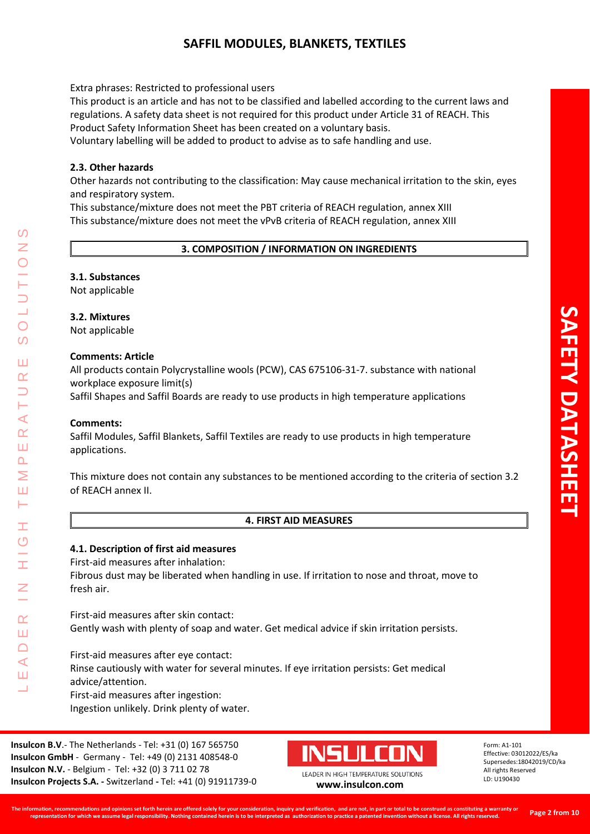# **SAFFIL MODULES, BLANKETS, TEXTILES**

Extra phrases: Restricted to professional users

This product is an article and has not to be classified and labelled according to the current laws and regulations. A safety data sheet is not required for this product under Article 31 of REACH. This Product Safety Information Sheet has been created on a voluntary basis.

Voluntary labelling will be added to product to advise as to safe handling and use.

## **2.3. Other hazards**

Other hazards not contributing to the classification: May cause mechanical irritation to the skin, eyes and respiratory system.

This substance/mixture does not meet the PBT criteria of REACH regulation, annex XIII This substance/mixture does not meet the vPvB criteria of REACH regulation, annex XIII

# **3. COMPOSITION / INFORMATION ON INGREDIENTS**

## **3.1. Substances**

Not applicable

## **3.2. Mixtures**

Not applicable

## **Comments: Article**

All products contain Polycrystalline wools (PCW), CAS 675106-31-7. substance with national workplace exposure limit(s)

Saffil Shapes and Saffil Boards are ready to use products in high temperature applications

#### **Comments:**

LEADER IN HIGH TEMPERATURE SOLUTIONS

Ŧ  $\circ$ 

 $\alpha$ Ш  $\Box$  $\blacktriangleleft$ Ш  $\overline{\phantom{0}}$ 

 $\blacktriangleleft$  $\alpha$ Ш  $\overline{\mathbf{r}}$ Σ Ш н

 $\mathcal{O}$ 

 $\overline{O}$ 

 $\Omega$ 

Ш  $\alpha$ 

> Saffil Modules, Saffil Blankets, Saffil Textiles are ready to use products in high temperature applications.

This mixture does not contain any substances to be mentioned according to the criteria of section 3.2 of REACH annex II.

# **4. FIRST AID MEASURES**

#### **4.1. Description of first aid measures**

First-aid measures after inhalation:

Fibrous dust may be liberated when handling in use. If irritation to nose and throat, move to fresh air.

First-aid measures after skin contact: Gently wash with plenty of soap and water. Get medical advice if skin irritation persists.

First-aid measures after eye contact: Rinse cautiously with water for several minutes. If eye irritation persists: Get medical advice/attention. First-aid measures after ingestion: Ingestion unlikely. Drink plenty of water.

**Insulcon B.V**.- The Netherlands - Tel: +31 (0) 167 565750 **Insulcon GmbH** - Germany - Tel: +49 (0) 2131 408548-0 **Insulcon N.V.** - Belgium - Tel: +32 (0) 3 711 02 78 **Insulcon Projects S.A. -** Switzerland **-** Tel: +41 (0) 91911739-0 **[www.insulcon.com](http://www.insulcon.com/)**

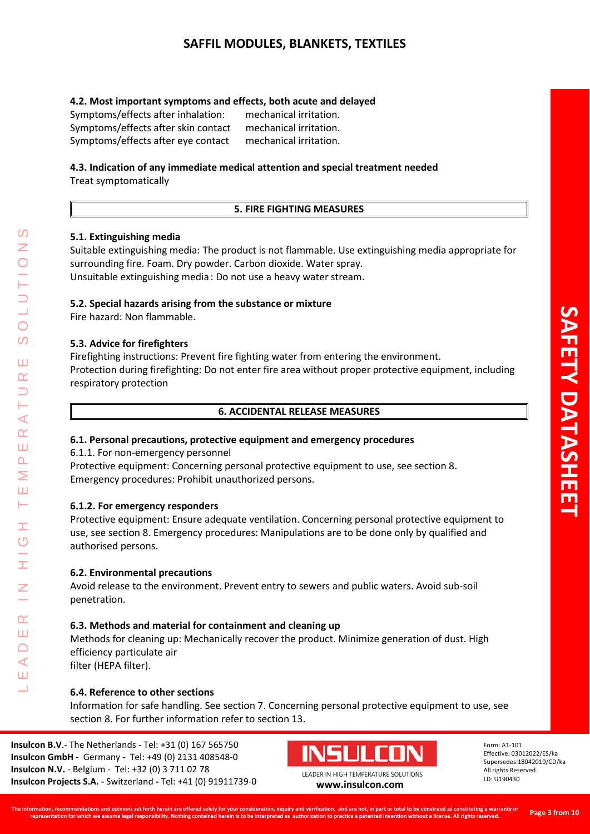# **4.2. Most important symptoms and effects, both acute and delayed**

Symptoms/effects after inhalation: mechanical irritation. Symptoms/effects after skin contact mechanical irritation. Symptoms/effects after eye contact mechanical irritation.

# **4.3. Indication of any immediate medical attention and special treatment needed**

Treat symptomatically

# **5. FIRE FIGHTING MEASURES**

# **5.1. Extinguishing media**

Suitable extinguishing media: The product is not flammable. Use extinguishing media appropriate for surrounding fire. Foam. Dry powder. Carbon dioxide. Water spray. Unsuitable extinguishing media : Do not use a heavy water stream.

# **5.2. Special hazards arising from the substance or mixture**

Fire hazard: Non flammable.

# **5.3. Advice for firefighters**

Firefighting instructions: Prevent fire fighting water from entering the environment. Protection during firefighting: Do not enter fire area without proper protective equipment, including respiratory protection

# **6. ACCIDENTAL RELEASE MEASURES**

# **6.1. Personal precautions, protective equipment and emergency procedures**

6.1.1. For non-emergency personnel

Protective equipment: Concerning personal protective equipment to use, see section 8. Emergency procedures: Prohibit unauthorized persons.

# **6.1.2. For emergency responders**

Protective equipment: Ensure adequate ventilation. Concerning personal protective equipment to use, see section 8. Emergency procedures: Manipulations are to be done only by qualified and authorised persons.

# **6.2. Environmental precautions**

Avoid release to the environment. Prevent entry to sewers and public waters. Avoid sub-soil penetration.

# **6.3. Methods and material for containment and cleaning up**

Methods for cleaning up: Mechanically recover the product. Minimize generation of dust. High efficiency particulate air

filter (HEPA filter).

LEADER IN HIGH TEMPERATURE SOLUTIONS

Ŧ  $\overline{O}$ 

 $\alpha$ Ш  $\Box$  $\blacktriangleleft$ Ш  $\overline{\phantom{0}}$ 

⋖  $\alpha$ Ш  $\overline{\mathbf{r}}$ Σ Ш  $\vdash$ 

 $\bigcirc$  $\Omega$ 

Ш  $\alpha$ 

# **6.4. Reference to other sections**

Information for safe handling. See section 7. Concerning personal protective equipment to use, see section 8. For further information refer to section 13.

**Insulcon B.V**.- The Netherlands - Tel: +31 (0) 167 565750 **Insulcon GmbH** - Germany - Tel: +49 (0) 2131 408548-0 **Insulcon N.V.** - Belgium - Tel: +32 (0) 3 711 02 78 **Insulcon Projects S.A. -** Switzerland **-** Tel: +41 (0) 91911739-0 **[www.insulcon.com](http://www.insulcon.com/)**

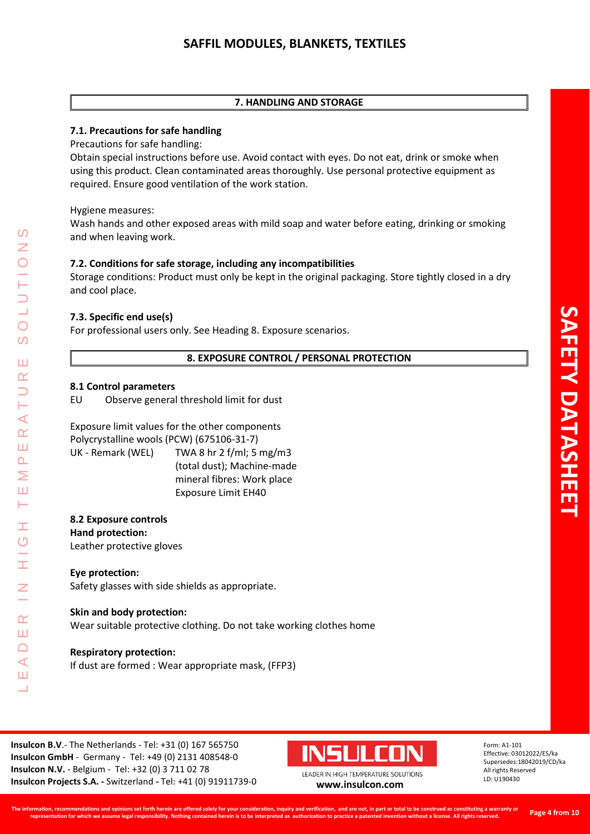# **7. HANDLING AND STORAGE**

# **7.1. Precautions for safe handling**

Precautions for safe handling:

Obtain special instructions before use. Avoid contact with eyes. Do not eat, drink or smoke when using this product. Clean contaminated areas thoroughly. Use personal protective equipment as required. Ensure good ventilation of the work station.

Hygiene measures:

Wash hands and other exposed areas with mild soap and water before eating, drinking or smoking and when leaving work.

# **7.2. Conditions for safe storage, including any incompatibilities**

Storage conditions: Product must only be kept in the original packaging. Store tightly closed in a dry and cool place.

# **7.3. Specific end use(s)**

For professional users only. See Heading 8. Exposure scenarios.

# **8. EXPOSURE CONTROL / PERSONAL PROTECTION**

## **8.1 Control parameters**

LEADER IN HIGH TEMPERATURE SOLUTIONS

Ŧ  $\overline{O}$ 

 $\alpha$ Ш  $\Box$  $\prec$ Ш  $\overline{\phantom{0}}$ 

 $\prec$  $\alpha$ Ш  $\overline{\mathbf{r}}$ Σ Ш Н

 $\Omega$ 

 $\overline{O}$  $\overline{O}$ 

Ш  $\alpha$ 

EU Observe general threshold limit for dust

Exposure limit values for the other components Polycrystalline wools (PCW) (675106-31-7) UK - Remark (WEL) TWA 8 hr 2 f/ml; 5 mg/m3 (total dust); Machine-made mineral fibres: Work place Exposure Limit EH40

### **8.2 Exposure controls Hand protection:** Leather protective gloves

**Eye protection:**

Safety glasses with side shields as appropriate.

# **Skin and body protection:**

Wear suitable protective clothing. Do not take working clothes home

# **Respiratory protection:**

If dust are formed : Wear appropriate mask, (FFP3)

**Insulcon B.V**.- The Netherlands - Tel: +31 (0) 167 565750 **Insulcon GmbH** - Germany - Tel: +49 (0) 2131 408548-0 **Insulcon N.V.** - Belgium - Tel: +32 (0) 3 711 02 78 **Insulcon Projects S.A. -** Switzerland **-** Tel: +41 (0) 91911739-0 **[www.insulcon.com](http://www.insulcon.com/)**

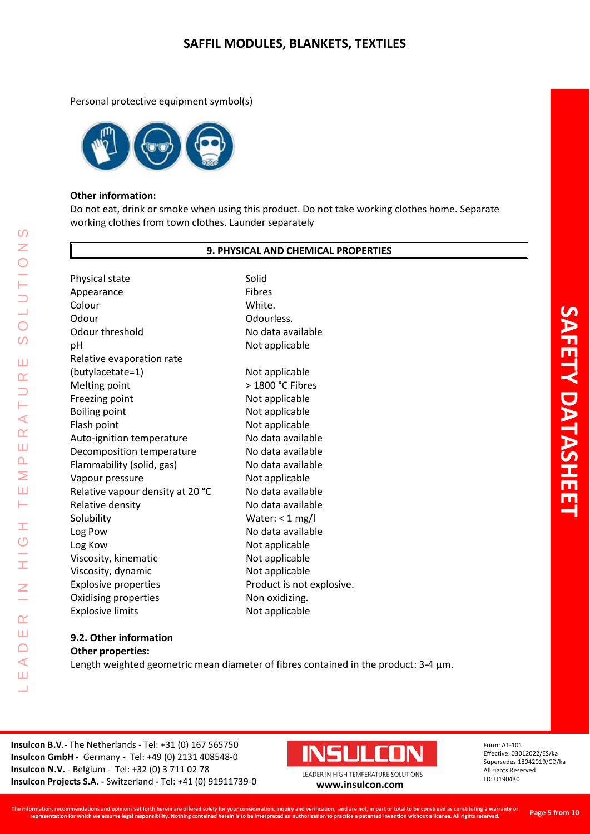Personal protective equipment symbol(s)



### **Other information:**

Do not eat, drink or smoke when using this product. Do not take working clothes home. Separate working clothes from town clothes. Launder separately

#### **9. PHYSICAL AND CHEMICAL PROPERTIES**

Physical state Solid Appearance Fibres Colour White. Odour Odourless. Odour threshold No data available pH Not applicable Relative evaporation rate (butylacetate=1) Not applicable Melting point > 1800 °C Fibres Freezing point Not applicable Boiling point Not applicable Flash point Not applicable Auto-ignition temperature No data available Decomposition temperature No data available Flammability (solid, gas) No data available Vapour pressure Not applicable Relative vapour density at 20 °C No data available Relative density No data available Solubility Water: < 1 mg/l Log Pow No data available Log Kow Not applicable Viscosity, kinematic Not applicable Viscosity, dynamic Not applicable Explosive properties **Product** is not explosive. Oxidising properties Non oxidizing. Explosive limits Not applicable

#### **9.2. Other information Other properties:**

LEADER IN HIGH TEMPERATURE SOLUTIONS

Ŧ  $\overline{O}$ 

 $\alpha$ Ш  $\Box$  $\blacktriangleleft$ Ш <u>a l</u>

⋖  $\alpha$ Ш  $\overline{\mathbf{r}}$ Σ Ш Н

 $\Omega$  $\overline{z}$ 

 $\bigcirc$  $\Omega$ 

Ш  $\alpha$ 

Length weighted geometric mean diameter of fibres contained in the product: 3-4  $\mu$ m.

**Insulcon B.V**.- The Netherlands - Tel: +31 (0) 167 565750 **Insulcon GmbH** - Germany - Tel: +49 (0) 2131 408548-0 **Insulcon N.V.** - Belgium - Tel: +32 (0) 3 711 02 78 **Insulcon Projects S.A. -** Switzerland **-** Tel: +41 (0) 91911739-0 **[www.insulcon.com](http://www.insulcon.com/)**

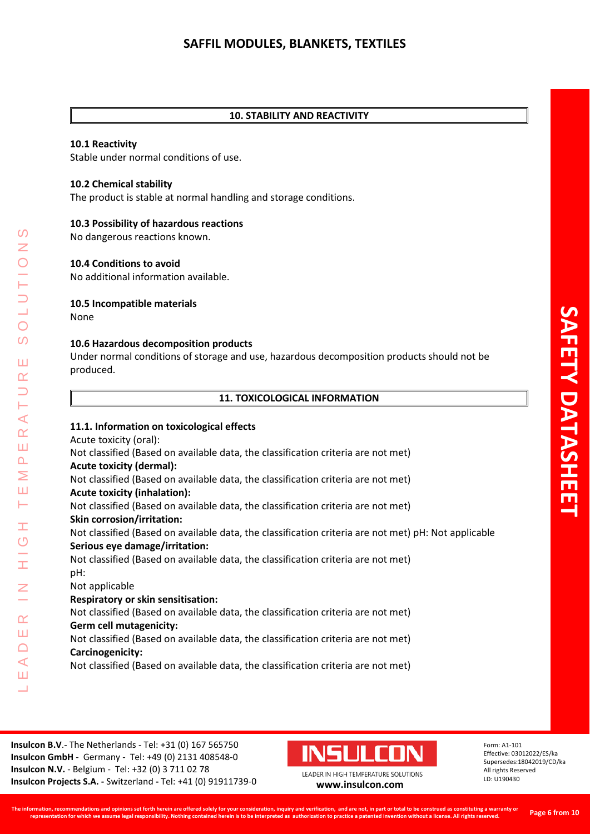### **10. STABILITY AND REACTIVITY**

#### **10.1 Reactivity**

Stable under normal conditions of use.

#### **10.2 Chemical stability**

The product is stable at normal handling and storage conditions.

#### **10.3 Possibility of hazardous reactions**

No dangerous reactions known.

#### **10.4 Conditions to avoid**

No additional information available.

#### **10.5 Incompatible materials**

None

LEADER IN HIGH TEMPERATURE SOLUTIONS

Ŧ  $\overline{O}$ 

 $\alpha$ Ш  $\Box$  $\blacktriangleleft$ Ш  $\overline{\phantom{0}}$ 

 $\Omega$ 

 $\bigcirc$  $\Omega$ 

Ш  $\alpha$ 

Н  $\prec$  $\underline{\alpha}$ Ш  $\Delta$ Σ Ш Н

#### **10.6 Hazardous decomposition products**

Under normal conditions of storage and use, hazardous decomposition products should not be produced.

| <b>11. TOXICOLOGICAL INFORMATION</b> |  |
|--------------------------------------|--|
|--------------------------------------|--|

#### **11.1. Information on toxicological effects**

Acute toxicity (oral):

Not classified (Based on available data, the classification criteria are not met) **Acute toxicity (dermal):** Not classified (Based on available data, the classification criteria are not met) **Acute toxicity (inhalation):**  Not classified (Based on available data, the classification criteria are not met) **Skin corrosion/irritation:**  Not classified (Based on available data, the classification criteria are not met) pH: Not applicable **Serious eye damage/irritation:** 

Not classified (Based on available data, the classification criteria are not met) pH:

Not applicable

#### **Respiratory or skin sensitisation:**

Not classified (Based on available data, the classification criteria are not met) **Germ cell mutagenicity:**

Not classified (Based on available data, the classification criteria are not met) **Carcinogenicity:**

Not classified (Based on available data, the classification criteria are not met)

**Insulcon B.V**.- The Netherlands - Tel: +31 (0) 167 565750 **Insulcon GmbH** - Germany - Tel: +49 (0) 2131 408548-0 **Insulcon N.V.** - Belgium - Tel: +32 (0) 3 711 02 78 **Insulcon Projects S.A. -** Switzerland **-** Tel: +41 (0) 91911739-0 **[www.insulcon.com](http://www.insulcon.com/)**

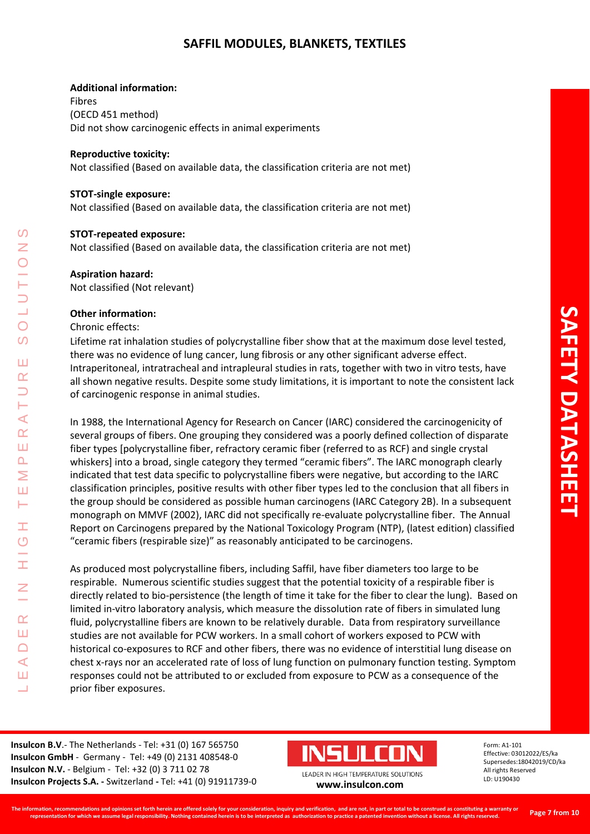# **SAFFIL MODULES, BLANKETS, TEXTILES**

#### **Additional information:**

Fibres (OECD 451 method) Did not show carcinogenic effects in animal experiments

#### **Reproductive toxicity:**

Not classified (Based on available data, the classification criteria are not met)

#### **STOT-single exposure:**

Not classified (Based on available data, the classification criteria are not met)

#### **STOT-repeated exposure:**

Not classified (Based on available data, the classification criteria are not met)

#### **Aspiration hazard:**

Not classified (Not relevant)

#### **Other information:**

Chronic effects:

LEADER IN HIGH TEMPERATURE SOLUTIONS

Ŧ  $\overline{O}$ 

 $\alpha$ Ш  $\Box$  $\blacktriangleleft$ Ш  $\overline{\phantom{0}}$ 

 $\blacktriangleleft$  $\alpha$ Ш  $\overline{\mathbf{r}}$ Σ Ш н

 $\Omega$ Z

 $\bigcirc$  $\Omega$ 

Ш  $\alpha$ 

Lifetime rat inhalation studies of polycrystalline fiber show that at the maximum dose level tested, there was no evidence of lung cancer, lung fibrosis or any other significant adverse effect. Intraperitoneal, intratracheal and intrapleural studies in rats, together with two in vitro tests, have all shown negative results. Despite some study limitations, it is important to note the consistent lack of carcinogenic response in animal studies.

In 1988, the International Agency for Research on Cancer (IARC) considered the carcinogenicity of several groups of fibers. One grouping they considered was a poorly defined collection of disparate fiber types [polycrystalline fiber, refractory ceramic fiber (referred to as RCF) and single crystal whiskers] into a broad, single category they termed "ceramic fibers". The IARC monograph clearly indicated that test data specific to polycrystalline fibers were negative, but according to the IARC classification principles, positive results with other fiber types led to the conclusion that all fibers in the group should be considered as possible human carcinogens (IARC Category 2B). In a subsequent monograph on MMVF (2002), IARC did not specifically re-evaluate polycrystalline fiber. The Annual Report on Carcinogens prepared by the National Toxicology Program (NTP), (latest edition) classified "ceramic fibers (respirable size)" as reasonably anticipated to be carcinogens.

As produced most polycrystalline fibers, including Saffil, have fiber diameters too large to be respirable. Numerous scientific studies suggest that the potential toxicity of a respirable fiber is directly related to bio-persistence (the length of time it take for the fiber to clear the lung). Based on limited in-vitro laboratory analysis, which measure the dissolution rate of fibers in simulated lung fluid, polycrystalline fibers are known to be relatively durable. Data from respiratory surveillance studies are not available for PCW workers. In a small cohort of workers exposed to PCW with historical co-exposures to RCF and other fibers, there was no evidence of interstitial lung disease on chest x-rays nor an accelerated rate of loss of lung function on pulmonary function testing. Symptom responses could not be attributed to or excluded from exposure to PCW as a consequence of the prior fiber exposures.

**Insulcon B.V**.- The Netherlands - Tel: +31 (0) 167 565750 **Insulcon GmbH** - Germany - Tel: +49 (0) 2131 408548-0 **Insulcon N.V.** - Belgium - Tel: +32 (0) 3 711 02 78 **Insulcon Projects S.A. -** Switzerland **-** Tel: +41 (0) 91911739-0 **[www.insulcon.com](http://www.insulcon.com/)**

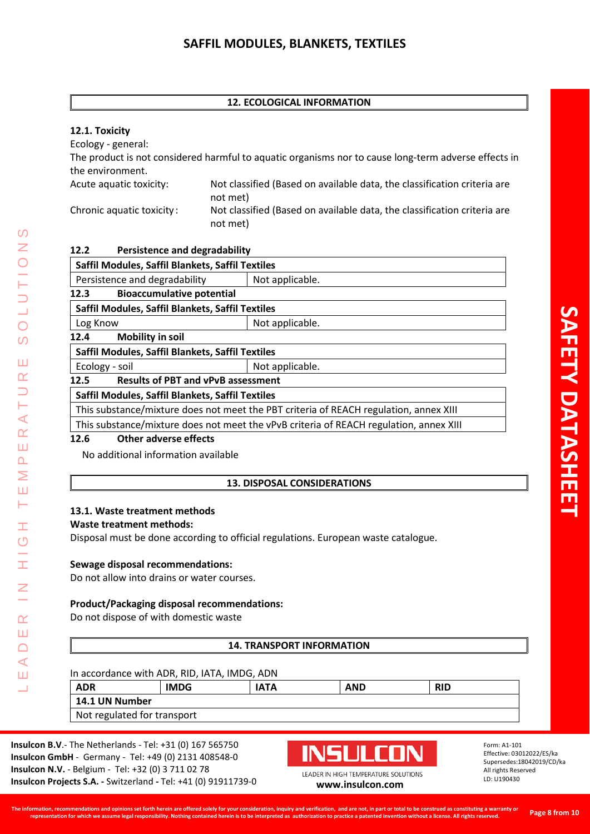# **12. ECOLOGICAL INFORMATION**

# **12.1. Toxicity**

Ecology - general:

The product is not considered harmful to aquatic organisms nor to cause long-term adverse effects in the environment.

Acute aquatic toxicity: Not classified (Based on available data, the classification criteria are not met) Chronic aquatic toxicity: Not classified (Based on available data, the classification criteria are not met)

| 12.2 | <b>Persistence and degradability</b> |  |
|------|--------------------------------------|--|
|      |                                      |  |

| Saffil Modules, Saffil Blankets, Saffil Textiles                                       |                 |  |
|----------------------------------------------------------------------------------------|-----------------|--|
| Persistence and degradability                                                          | Not applicable. |  |
| <b>Bioaccumulative potential</b><br>12.3                                               |                 |  |
| Saffil Modules, Saffil Blankets, Saffil Textiles                                       |                 |  |
| Log Know                                                                               | Not applicable. |  |
| <b>Mobility in soil</b><br>12.4                                                        |                 |  |
| Saffil Modules, Saffil Blankets, Saffil Textiles                                       |                 |  |
| Ecology - soil                                                                         | Not applicable. |  |
| <b>Results of PBT and vPvB assessment</b><br>12.5                                      |                 |  |
| Saffil Modules, Saffil Blankets, Saffil Textiles                                       |                 |  |
| This substance/mixture does not meet the PBT criteria of REACH regulation, annex XIII  |                 |  |
| This substance/mixture does not meet the vPvB criteria of REACH regulation, annex XIII |                 |  |
| Other adverse effects<br>12.6                                                          |                 |  |

No additional information available

# **13. DISPOSAL CONSIDERATIONS**

# **13.1. Waste treatment methods**

# **Waste treatment methods:**

Disposal must be done according to official regulations. European waste catalogue.

# **Sewage disposal recommendations:**

Do not allow into drains or water courses.

# **Product/Packaging disposal recommendations:**

Do not dispose of with domestic waste

# **14. TRANSPORT INFORMATION**

In accordance with ADR, RID, IATA, IMDG, ADN **ADR IMDG IATA AND RID 14.1 UN Number** Not regulated for transport

**Insulcon B.V**.- The Netherlands - Tel: +31 (0) 167 565750 **Insulcon GmbH** - Germany - Tel: +49 (0) 2131 408548-0 **Insulcon N.V.** - Belgium - Tel: +32 (0) 3 711 02 78 **Insulcon Projects S.A. -** Switzerland **-** Tel: +41 (0) 91911739-0 **[www.insulcon.com](http://www.insulcon.com/)**

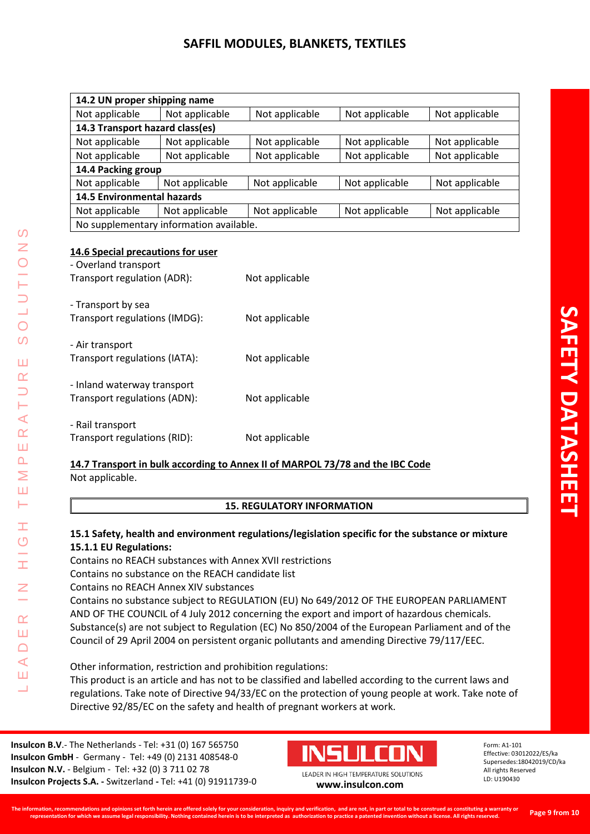# **SAFFIL MODULES, BLANKETS, TEXTILES**

| 14.2 UN proper shipping name            |                |                |                |                |
|-----------------------------------------|----------------|----------------|----------------|----------------|
| Not applicable                          | Not applicable | Not applicable | Not applicable | Not applicable |
| 14.3 Transport hazard class(es)         |                |                |                |                |
| Not applicable                          | Not applicable | Not applicable | Not applicable | Not applicable |
| Not applicable                          | Not applicable | Not applicable | Not applicable | Not applicable |
| 14.4 Packing group                      |                |                |                |                |
| Not applicable                          | Not applicable | Not applicable | Not applicable | Not applicable |
| <b>14.5 Environmental hazards</b>       |                |                |                |                |
| Not applicable                          | Not applicable | Not applicable | Not applicable | Not applicable |
| No supplementary information available. |                |                |                |                |
|                                         |                |                |                |                |

# **14.6 Special precautions for user**

LEADER IN HIGH TEMPERATURE SOLUTIONS

Ŧ  $\overline{O}$ 

 $\alpha$ Ш  $\Box$  $\prec$ Ш  $\overline{\phantom{0}}$ 

 $\Omega$ Z

 $\overline{O}$ 

 $\Omega$ 

Ш  $\alpha$  $\Box$ ⊢  $\blacktriangleleft$  $\alpha$ Ш  $\Delta$ Σ Ш  $\vdash$ 

| - Overland transport<br>Transport regulation (ADR):         | Not applicable |
|-------------------------------------------------------------|----------------|
| - Transport by sea<br>Transport regulations (IMDG):         | Not applicable |
| - Air transport<br>Transport regulations (IATA):            | Not applicable |
| - Inland waterway transport<br>Transport regulations (ADN): | Not applicable |
| - Rail transport<br>Transport regulations (RID):            | Not applicable |

# **14.7 Transport in bulk according to Annex II of MARPOL 73/78 and the IBC Code** Not applicable.

# **15. REGULATORY INFORMATION**

# **15.1 Safety, health and environment regulations/legislation specific for the substance or mixture 15.1.1 EU Regulations:**

Contains no REACH substances with Annex XVII restrictions Contains no substance on the REACH candidate list

Contains no REACH Annex XIV substances

Contains no substance subject to REGULATION (EU) No 649/2012 OF THE EUROPEAN PARLIAMENT AND OF THE COUNCIL of 4 July 2012 concerning the export and import of hazardous chemicals. Substance(s) are not subject to Regulation (EC) No 850/2004 of the European Parliament and of the Council of 29 April 2004 on persistent organic pollutants and amending Directive 79/117/EEC.

Other information, restriction and prohibition regulations: This product is an article and has not to be classified and labelled according to the current laws and regulations. Take note of Directive 94/33/EC on the protection of young people at work. Take note of Directive 92/85/EC on the safety and health of pregnant workers at work.

**Insulcon B.V**.- The Netherlands - Tel: +31 (0) 167 565750 **Insulcon GmbH** - Germany - Tel: +49 (0) 2131 408548-0 **Insulcon N.V.** - Belgium - Tel: +32 (0) 3 711 02 78 **Insulcon Projects S.A. -** Switzerland **-** Tel: +41 (0) 91911739-0 **[www.insulcon.com](http://www.insulcon.com/)**